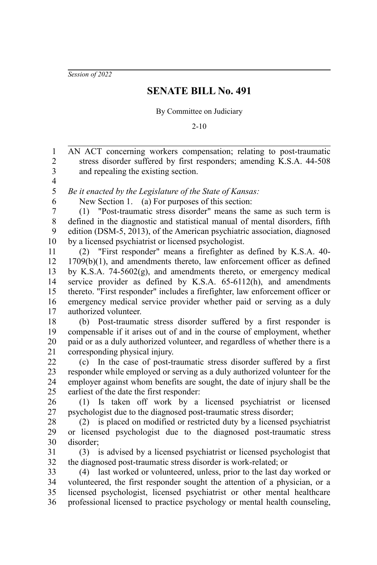*Session of 2022*

## **SENATE BILL No. 491**

By Committee on Judiciary

2-10

AN ACT concerning workers compensation; relating to post-traumatic stress disorder suffered by first responders; amending K.S.A. 44-508 and repealing the existing section. 1 2 3

4 5

6

*Be it enacted by the Legislature of the State of Kansas:*

New Section 1. (a) For purposes of this section:

(1) "Post-traumatic stress disorder" means the same as such term is defined in the diagnostic and statistical manual of mental disorders, fifth edition (DSM-5, 2013), of the American psychiatric association, diagnosed by a licensed psychiatrist or licensed psychologist. 7 8 9 10

(2) "First responder" means a firefighter as defined by K.S.A. 40- 1709(b)(1), and amendments thereto, law enforcement officer as defined by K.S.A. 74-5602(g), and amendments thereto, or emergency medical service provider as defined by K.S.A. 65-6112(h), and amendments thereto. "First responder" includes a firefighter, law enforcement officer or emergency medical service provider whether paid or serving as a duly authorized volunteer. 11 12 13 14 15 16 17

(b) Post-traumatic stress disorder suffered by a first responder is compensable if it arises out of and in the course of employment, whether paid or as a duly authorized volunteer, and regardless of whether there is a corresponding physical injury. 18 19 20 21

(c) In the case of post-traumatic stress disorder suffered by a first responder while employed or serving as a duly authorized volunteer for the employer against whom benefits are sought, the date of injury shall be the earliest of the date the first responder: 22 23 24 25

(1) Is taken off work by a licensed psychiatrist or licensed psychologist due to the diagnosed post-traumatic stress disorder; 26 27

(2) is placed on modified or restricted duty by a licensed psychiatrist or licensed psychologist due to the diagnosed post-traumatic stress disorder; 28 29 30

(3) is advised by a licensed psychiatrist or licensed psychologist that the diagnosed post-traumatic stress disorder is work-related; or 31 32

(4) last worked or volunteered, unless, prior to the last day worked or volunteered, the first responder sought the attention of a physician, or a licensed psychologist, licensed psychiatrist or other mental healthcare professional licensed to practice psychology or mental health counseling, 33 34 35 36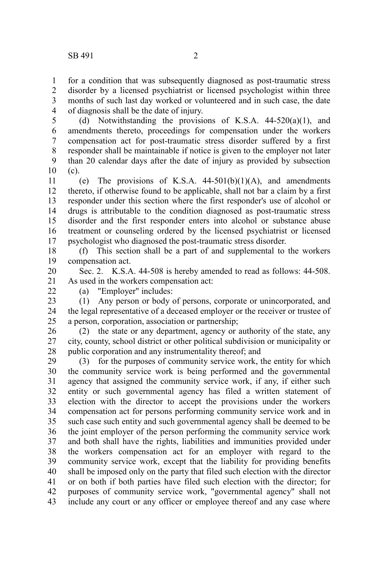for a condition that was subsequently diagnosed as post-traumatic stress disorder by a licensed psychiatrist or licensed psychologist within three months of such last day worked or volunteered and in such case, the date of diagnosis shall be the date of injury. 1 2 3 4

(d) Notwithstanding the provisions of K.S.A.  $44-520(a)(1)$ , and amendments thereto, proceedings for compensation under the workers compensation act for post-traumatic stress disorder suffered by a first responder shall be maintainable if notice is given to the employer not later than 20 calendar days after the date of injury as provided by subsection (c). 5 6 7 8 9 10

(e) The provisions of K.S.A.  $44-501(b)(1)(A)$ , and amendments thereto, if otherwise found to be applicable, shall not bar a claim by a first responder under this section where the first responder's use of alcohol or drugs is attributable to the condition diagnosed as post-traumatic stress disorder and the first responder enters into alcohol or substance abuse treatment or counseling ordered by the licensed psychiatrist or licensed psychologist who diagnosed the post-traumatic stress disorder. 11 12 13 14 15 16 17

(f) This section shall be a part of and supplemental to the workers compensation act. 18 19

Sec. 2. K.S.A. 44-508 is hereby amended to read as follows: 44-508. As used in the workers compensation act: 20 21

(a) "Employer" includes:

22

(1) Any person or body of persons, corporate or unincorporated, and the legal representative of a deceased employer or the receiver or trustee of a person, corporation, association or partnership; 23 24 25

(2) the state or any department, agency or authority of the state, any city, county, school district or other political subdivision or municipality or public corporation and any instrumentality thereof; and 26 27 28

(3) for the purposes of community service work, the entity for which the community service work is being performed and the governmental agency that assigned the community service work, if any, if either such entity or such governmental agency has filed a written statement of election with the director to accept the provisions under the workers compensation act for persons performing community service work and in such case such entity and such governmental agency shall be deemed to be the joint employer of the person performing the community service work and both shall have the rights, liabilities and immunities provided under the workers compensation act for an employer with regard to the community service work, except that the liability for providing benefits shall be imposed only on the party that filed such election with the director or on both if both parties have filed such election with the director; for purposes of community service work, "governmental agency" shall not include any court or any officer or employee thereof and any case where 29 30 31 32 33 34 35 36 37 38 39 40 41 42 43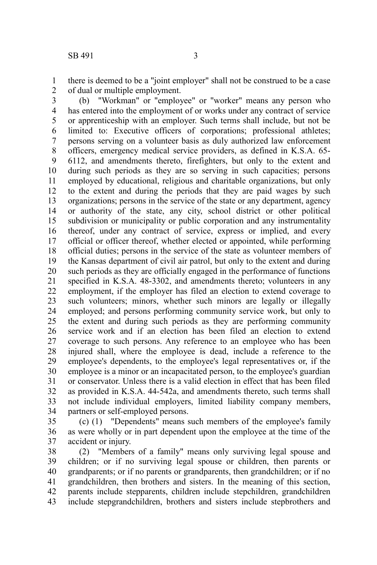there is deemed to be a "joint employer" shall not be construed to be a case of dual or multiple employment. 1 2

(b) "Workman" or "employee" or "worker" means any person who has entered into the employment of or works under any contract of service or apprenticeship with an employer. Such terms shall include, but not be limited to: Executive officers of corporations; professional athletes; persons serving on a volunteer basis as duly authorized law enforcement officers, emergency medical service providers, as defined in K.S.A. 65- 6112, and amendments thereto, firefighters, but only to the extent and during such periods as they are so serving in such capacities; persons employed by educational, religious and charitable organizations, but only to the extent and during the periods that they are paid wages by such organizations; persons in the service of the state or any department, agency or authority of the state, any city, school district or other political subdivision or municipality or public corporation and any instrumentality thereof, under any contract of service, express or implied, and every official or officer thereof, whether elected or appointed, while performing official duties; persons in the service of the state as volunteer members of the Kansas department of civil air patrol, but only to the extent and during such periods as they are officially engaged in the performance of functions specified in K.S.A. 48-3302, and amendments thereto; volunteers in any employment, if the employer has filed an election to extend coverage to such volunteers; minors, whether such minors are legally or illegally employed; and persons performing community service work, but only to the extent and during such periods as they are performing community service work and if an election has been filed an election to extend coverage to such persons. Any reference to an employee who has been injured shall, where the employee is dead, include a reference to the employee's dependents, to the employee's legal representatives or, if the employee is a minor or an incapacitated person, to the employee's guardian or conservator. Unless there is a valid election in effect that has been filed as provided in K.S.A. 44-542a, and amendments thereto, such terms shall not include individual employers, limited liability company members, partners or self-employed persons. 3 4 5 6 7 8 9 10 11 12 13 14 15 16 17 18 19 20 21 22 23 24 25 26 27 28 29 30 31 32 33 34

(c) (1) "Dependents" means such members of the employee's family as were wholly or in part dependent upon the employee at the time of the accident or injury. 35 36 37

(2) "Members of a family" means only surviving legal spouse and children; or if no surviving legal spouse or children, then parents or grandparents; or if no parents or grandparents, then grandchildren; or if no grandchildren, then brothers and sisters. In the meaning of this section, parents include stepparents, children include stepchildren, grandchildren include stepgrandchildren, brothers and sisters include stepbrothers and 38 39 40 41 42 43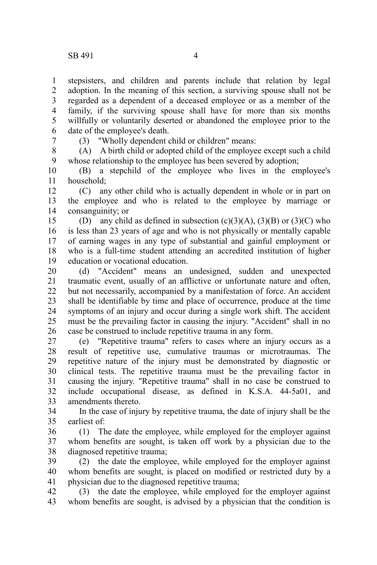stepsisters, and children and parents include that relation by legal adoption. In the meaning of this section, a surviving spouse shall not be regarded as a dependent of a deceased employee or as a member of the family, if the surviving spouse shall have for more than six months willfully or voluntarily deserted or abandoned the employee prior to the date of the employee's death. 1 2 3 4 5 6

7

(3) "Wholly dependent child or children" means:

(A) A birth child or adopted child of the employee except such a child whose relationship to the employee has been severed by adoption; 8 9

(B) a stepchild of the employee who lives in the employee's household; 10 11

(C) any other child who is actually dependent in whole or in part on the employee and who is related to the employee by marriage or consanguinity; or 12 13 14

(D) any child as defined in subsection  $(c)(3)(A)$ ,  $(3)(B)$  or  $(3)(C)$  who is less than 23 years of age and who is not physically or mentally capable of earning wages in any type of substantial and gainful employment or who is a full-time student attending an accredited institution of higher education or vocational education. 15 16 17 18 19

(d) "Accident" means an undesigned, sudden and unexpected traumatic event, usually of an afflictive or unfortunate nature and often, but not necessarily, accompanied by a manifestation of force. An accident shall be identifiable by time and place of occurrence, produce at the time symptoms of an injury and occur during a single work shift. The accident must be the prevailing factor in causing the injury. "Accident" shall in no case be construed to include repetitive trauma in any form. 20 21 22 23 24 25 26

(e) "Repetitive trauma" refers to cases where an injury occurs as a result of repetitive use, cumulative traumas or microtraumas. The repetitive nature of the injury must be demonstrated by diagnostic or clinical tests. The repetitive trauma must be the prevailing factor in causing the injury. "Repetitive trauma" shall in no case be construed to include occupational disease, as defined in K.S.A. 44-5a01, and amendments thereto. 27 28 29 30 31 32 33

In the case of injury by repetitive trauma, the date of injury shall be the earliest of: 34 35

(1) The date the employee, while employed for the employer against whom benefits are sought, is taken off work by a physician due to the diagnosed repetitive trauma; 36 37 38

(2) the date the employee, while employed for the employer against whom benefits are sought, is placed on modified or restricted duty by a physician due to the diagnosed repetitive trauma; 39 40 41

(3) the date the employee, while employed for the employer against whom benefits are sought, is advised by a physician that the condition is 42 43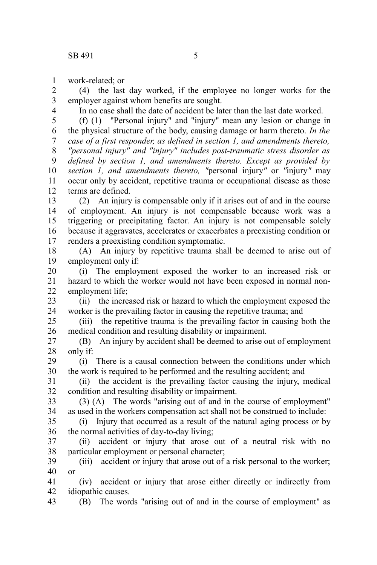work-related; or 1

(4) the last day worked, if the employee no longer works for the employer against whom benefits are sought. 2 3

4

In no case shall the date of accident be later than the last date worked.

(f) (1) "Personal injury" and "injury" mean any lesion or change in the physical structure of the body, causing damage or harm thereto. *In the case of a first responder, as defined in section 1, and amendments thereto, "personal injury" and "injury" includes post-traumatic stress disorder as defined by section 1, and amendments thereto. Except as provided by section 1, and amendments thereto, "*personal injury*"* or *"*injury*"* may occur only by accident, repetitive trauma or occupational disease as those terms are defined. 5 6 7 8 9 10 11 12

(2) An injury is compensable only if it arises out of and in the course of employment. An injury is not compensable because work was a triggering or precipitating factor. An injury is not compensable solely because it aggravates, accelerates or exacerbates a preexisting condition or renders a preexisting condition symptomatic. 13 14 15 16 17

(A) An injury by repetitive trauma shall be deemed to arise out of employment only if: 18 19

(i) The employment exposed the worker to an increased risk or hazard to which the worker would not have been exposed in normal nonemployment life; 20 21 22

(ii) the increased risk or hazard to which the employment exposed the worker is the prevailing factor in causing the repetitive trauma; and 23 24

(iii) the repetitive trauma is the prevailing factor in causing both the medical condition and resulting disability or impairment. 25 26

(B) An injury by accident shall be deemed to arise out of employment only if: 27 28

(i) There is a causal connection between the conditions under which the work is required to be performed and the resulting accident; and 29 30

(ii) the accident is the prevailing factor causing the injury, medical condition and resulting disability or impairment. 31 32

(3) (A) The words "arising out of and in the course of employment" as used in the workers compensation act shall not be construed to include: 33 34

(i) Injury that occurred as a result of the natural aging process or by the normal activities of day-to-day living; 35 36

(ii) accident or injury that arose out of a neutral risk with no particular employment or personal character; 37 38

(iii) accident or injury that arose out of a risk personal to the worker; or 39 40

(iv) accident or injury that arose either directly or indirectly from idiopathic causes. 41 42

(B) The words "arising out of and in the course of employment" as 43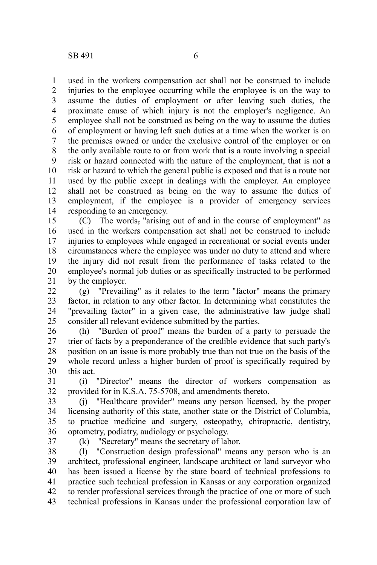used in the workers compensation act shall not be construed to include injuries to the employee occurring while the employee is on the way to assume the duties of employment or after leaving such duties, the proximate cause of which injury is not the employer's negligence. An employee shall not be construed as being on the way to assume the duties of employment or having left such duties at a time when the worker is on the premises owned or under the exclusive control of the employer or on the only available route to or from work that is a route involving a special risk or hazard connected with the nature of the employment, that is not a risk or hazard to which the general public is exposed and that is a route not used by the public except in dealings with the employer. An employee shall not be construed as being on the way to assume the duties of employment, if the employee is a provider of emergency services responding to an emergency. 1 2 3 4 5 6 7 8 9 10 11 12 13 14

(C) The words, "arising out of and in the course of employment" as used in the workers compensation act shall not be construed to include injuries to employees while engaged in recreational or social events under circumstances where the employee was under no duty to attend and where the injury did not result from the performance of tasks related to the employee's normal job duties or as specifically instructed to be performed by the employer. 15 16 17 18 19 20 21

(g) "Prevailing" as it relates to the term "factor" means the primary factor, in relation to any other factor. In determining what constitutes the "prevailing factor" in a given case, the administrative law judge shall consider all relevant evidence submitted by the parties. 22 23 24 25

(h) "Burden of proof" means the burden of a party to persuade the trier of facts by a preponderance of the credible evidence that such party's position on an issue is more probably true than not true on the basis of the whole record unless a higher burden of proof is specifically required by this act. 26 27 28 29 30

(i) "Director" means the director of workers compensation as provided for in K.S.A. 75-5708, and amendments thereto. 31 32

(j) "Healthcare provider" means any person licensed, by the proper licensing authority of this state, another state or the District of Columbia, to practice medicine and surgery, osteopathy, chiropractic, dentistry, optometry, podiatry, audiology or psychology. 33 34 35 36

37

(k) "Secretary" means the secretary of labor.

(l) "Construction design professional" means any person who is an architect, professional engineer, landscape architect or land surveyor who has been issued a license by the state board of technical professions to practice such technical profession in Kansas or any corporation organized to render professional services through the practice of one or more of such technical professions in Kansas under the professional corporation law of 38 39 40 41 42 43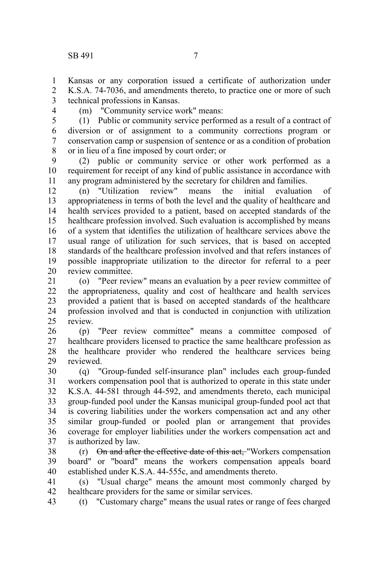Kansas or any corporation issued a certificate of authorization under K.S.A. 74-7036, and amendments thereto, to practice one or more of such technical professions in Kansas. 1 2 3

4

(m) "Community service work" means:

(1) Public or community service performed as a result of a contract of diversion or of assignment to a community corrections program or conservation camp or suspension of sentence or as a condition of probation or in lieu of a fine imposed by court order; or 5 6 7 8

(2) public or community service or other work performed as a requirement for receipt of any kind of public assistance in accordance with any program administered by the secretary for children and families. 9 10 11

(n) "Utilization review" means the initial evaluation of appropriateness in terms of both the level and the quality of healthcare and health services provided to a patient, based on accepted standards of the healthcare profession involved. Such evaluation is accomplished by means of a system that identifies the utilization of healthcare services above the usual range of utilization for such services, that is based on accepted standards of the healthcare profession involved and that refers instances of possible inappropriate utilization to the director for referral to a peer review committee. 12 13 14 15 16 17 18 19 20

(o) "Peer review" means an evaluation by a peer review committee of the appropriateness, quality and cost of healthcare and health services provided a patient that is based on accepted standards of the healthcare profession involved and that is conducted in conjunction with utilization review. 21 22 23 24  $25$ 

(p) "Peer review committee" means a committee composed of healthcare providers licensed to practice the same healthcare profession as the healthcare provider who rendered the healthcare services being reviewed. 26 27 28 29

(q) "Group-funded self-insurance plan" includes each group-funded workers compensation pool that is authorized to operate in this state under K.S.A. 44-581 through 44-592, and amendments thereto, each municipal group-funded pool under the Kansas municipal group-funded pool act that is covering liabilities under the workers compensation act and any other similar group-funded or pooled plan or arrangement that provides coverage for employer liabilities under the workers compensation act and is authorized by law. 30 31 32 33 34 35 36 37

(r) On and after the effective date of this act, "Workers compensation board" or "board" means the workers compensation appeals board established under K.S.A. 44-555c, and amendments thereto. 38 39 40

(s) "Usual charge" means the amount most commonly charged by healthcare providers for the same or similar services. 41 42

(t) "Customary charge" means the usual rates or range of fees charged 43